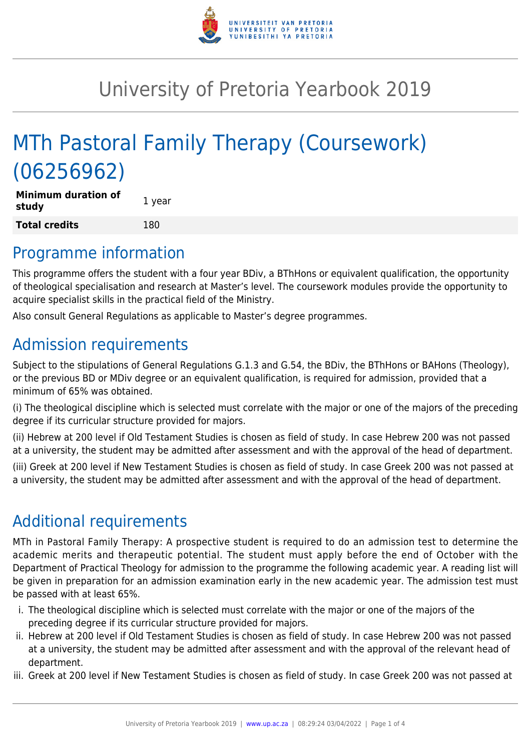

# University of Pretoria Yearbook 2019

# MTh Pastoral Family Therapy (Coursework) (06256962)

| <b>Minimum duration of</b><br>study | 1 year |
|-------------------------------------|--------|
| <b>Total credits</b>                | 180    |

## Programme information

This programme offers the student with a four year BDiv, a BThHons or equivalent qualification, the opportunity of theological specialisation and research at Master's level. The coursework modules provide the opportunity to acquire specialist skills in the practical field of the Ministry.

Also consult General Regulations as applicable to Master's degree programmes.

# Admission requirements

Subject to the stipulations of General Regulations G.1.3 and G.54, the BDiv, the BThHons or BAHons (Theology), or the previous BD or MDiv degree or an equivalent qualification, is required for admission, provided that a minimum of 65% was obtained.

(i) The theological discipline which is selected must correlate with the major or one of the majors of the preceding degree if its curricular structure provided for majors.

(ii) Hebrew at 200 level if Old Testament Studies is chosen as field of study. In case Hebrew 200 was not passed at a university, the student may be admitted after assessment and with the approval of the head of department.

(iii) Greek at 200 level if New Testament Studies is chosen as field of study. In case Greek 200 was not passed at a university, the student may be admitted after assessment and with the approval of the head of department.

# Additional requirements

MTh in Pastoral Family Therapy: A prospective student is required to do an admission test to determine the academic merits and therapeutic potential. The student must apply before the end of October with the Department of Practical Theology for admission to the programme the following academic year. A reading list will be given in preparation for an admission examination early in the new academic year. The admission test must be passed with at least 65%.

- i. The theological discipline which is selected must correlate with the major or one of the majors of the preceding degree if its curricular structure provided for majors.
- ii. Hebrew at 200 level if Old Testament Studies is chosen as field of study. In case Hebrew 200 was not passed at a university, the student may be admitted after assessment and with the approval of the relevant head of department.
- iii. Greek at 200 level if New Testament Studies is chosen as field of study. In case Greek 200 was not passed at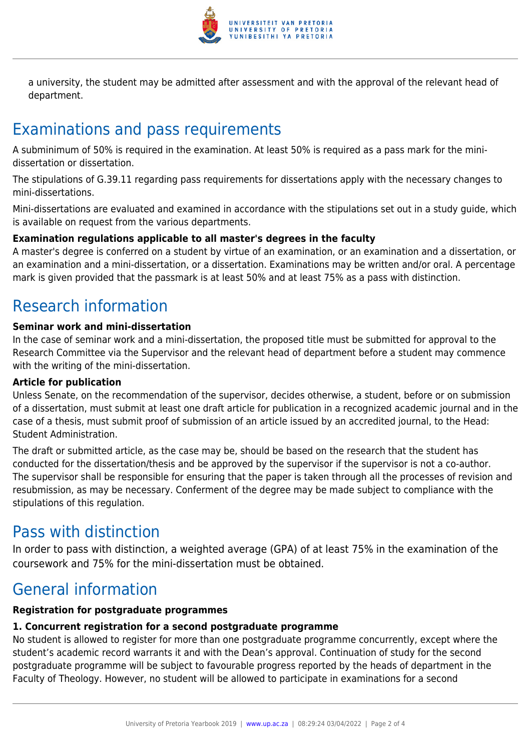

a university, the student may be admitted after assessment and with the approval of the relevant head of department.

# Examinations and pass requirements

A subminimum of 50% is required in the examination. At least 50% is required as a pass mark for the minidissertation or dissertation.

The stipulations of G.39.11 regarding pass requirements for dissertations apply with the necessary changes to mini-dissertations.

Mini-dissertations are evaluated and examined in accordance with the stipulations set out in a study guide, which is available on request from the various departments.

#### **Examination regulations applicable to all master's degrees in the faculty**

A master's degree is conferred on a student by virtue of an examination, or an examination and a dissertation, or an examination and a mini-dissertation, or a dissertation. Examinations may be written and/or oral. A percentage mark is given provided that the passmark is at least 50% and at least 75% as a pass with distinction.

# Research information

#### **Seminar work and mini-dissertation**

In the case of seminar work and a mini-dissertation, the proposed title must be submitted for approval to the Research Committee via the Supervisor and the relevant head of department before a student may commence with the writing of the mini-dissertation.

#### **Article for publication**

Unless Senate, on the recommendation of the supervisor, decides otherwise, a student, before or on submission of a dissertation, must submit at least one draft article for publication in a recognized academic journal and in the case of a thesis, must submit proof of submission of an article issued by an accredited journal, to the Head: Student Administration.

The draft or submitted article, as the case may be, should be based on the research that the student has conducted for the dissertation/thesis and be approved by the supervisor if the supervisor is not a co-author. The supervisor shall be responsible for ensuring that the paper is taken through all the processes of revision and resubmission, as may be necessary. Conferment of the degree may be made subject to compliance with the stipulations of this regulation.

## Pass with distinction

In order to pass with distinction, a weighted average (GPA) of at least 75% in the examination of the coursework and 75% for the mini-dissertation must be obtained.

# General information

#### **Registration for postgraduate programmes**

#### **1. Concurrent registration for a second postgraduate programme**

No student is allowed to register for more than one postgraduate programme concurrently, except where the student's academic record warrants it and with the Dean's approval. Continuation of study for the second postgraduate programme will be subject to favourable progress reported by the heads of department in the Faculty of Theology. However, no student will be allowed to participate in examinations for a second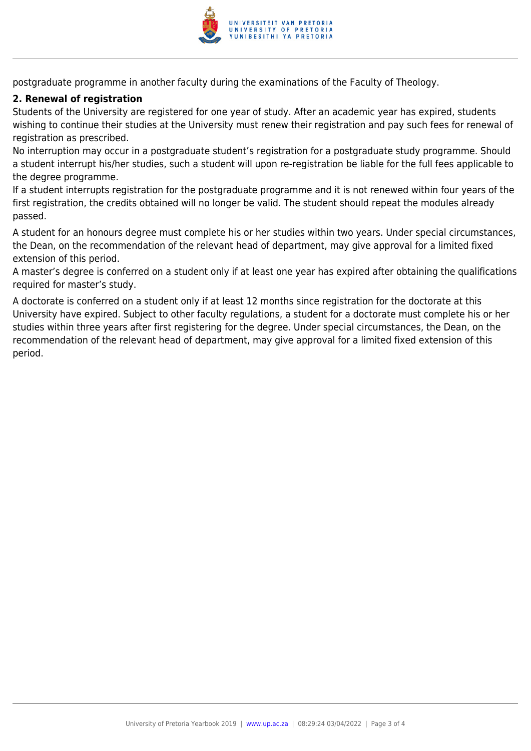

postgraduate programme in another faculty during the examinations of the Faculty of Theology.

#### **2. Renewal of registration**

Students of the University are registered for one year of study. After an academic year has expired, students wishing to continue their studies at the University must renew their registration and pay such fees for renewal of registration as prescribed.

No interruption may occur in a postgraduate student's registration for a postgraduate study programme. Should a student interrupt his/her studies, such a student will upon re-registration be liable for the full fees applicable to the degree programme.

If a student interrupts registration for the postgraduate programme and it is not renewed within four years of the first registration, the credits obtained will no longer be valid. The student should repeat the modules already passed.

A student for an honours degree must complete his or her studies within two years. Under special circumstances, the Dean, on the recommendation of the relevant head of department, may give approval for a limited fixed extension of this period.

A master's degree is conferred on a student only if at least one year has expired after obtaining the qualifications required for master's study.

A doctorate is conferred on a student only if at least 12 months since registration for the doctorate at this University have expired. Subject to other faculty regulations, a student for a doctorate must complete his or her studies within three years after first registering for the degree. Under special circumstances, the Dean, on the recommendation of the relevant head of department, may give approval for a limited fixed extension of this period.